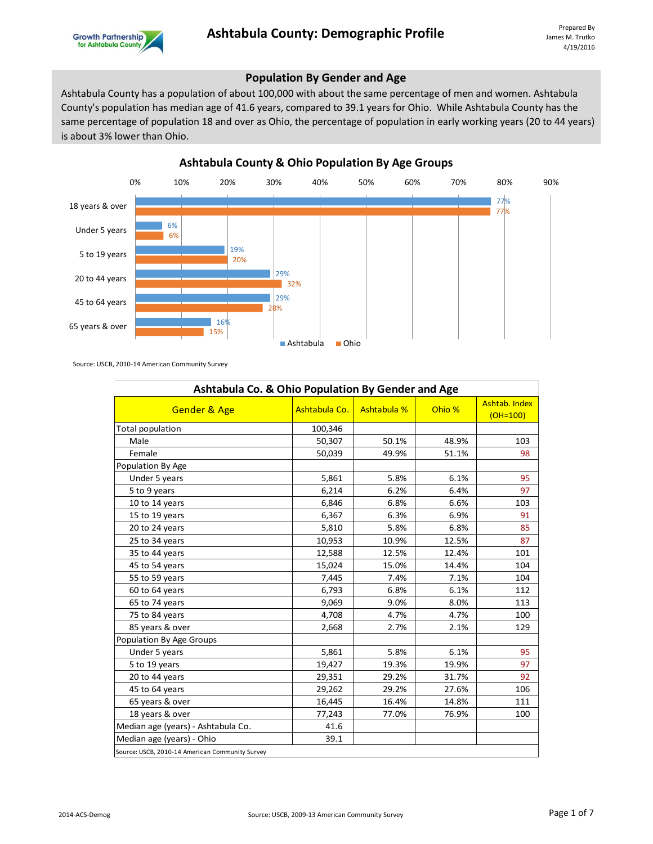

#### **Population By Gender and Age**

Ashtabula County has a population of about 100,000 with about the same percentage of men and women. Ashtabula County's population has median age of 41.6 years, compared to 39.1 years for Ohio. While Ashtabula County has the same percentage of population 18 and over as Ohio, the percentage of population in early working years (20 to 44 years) is about 3% lower than Ohio.



| Ashtabula Co. & Ohio Population By Gender and Age |               |             |        |                             |  |
|---------------------------------------------------|---------------|-------------|--------|-----------------------------|--|
| <b>Gender &amp; Age</b>                           | Ashtabula Co. | Ashtabula % | Ohio % | Ashtab, Index<br>$(OH=100)$ |  |
| <b>Total population</b>                           | 100,346       |             |        |                             |  |
| Male                                              | 50,307        | 50.1%       | 48.9%  | 103                         |  |
| Female                                            | 50,039        | 49.9%       | 51.1%  | 98                          |  |
| Population By Age                                 |               |             |        |                             |  |
| Under 5 years                                     | 5,861         | 5.8%        | 6.1%   | 95                          |  |
| 5 to 9 years                                      | 6,214         | 6.2%        | 6.4%   | 97                          |  |
| 10 to 14 years                                    | 6,846         | 6.8%        | 6.6%   | 103                         |  |
| 15 to 19 years                                    | 6,367         | 6.3%        | 6.9%   | 91                          |  |
| 20 to 24 years                                    | 5,810         | 5.8%        | 6.8%   | 85                          |  |
| 25 to 34 years                                    | 10,953        | 10.9%       | 12.5%  | 87                          |  |
| 35 to 44 years                                    | 12,588        | 12.5%       | 12.4%  | 101                         |  |
| 45 to 54 years                                    | 15,024        | 15.0%       | 14.4%  | 104                         |  |
| 55 to 59 years                                    | 7,445         | 7.4%        | 7.1%   | 104                         |  |
| 60 to 64 years                                    | 6,793         | 6.8%        | 6.1%   | 112                         |  |
| 65 to 74 years                                    | 9,069         | 9.0%        | 8.0%   | 113                         |  |
| 75 to 84 years                                    | 4,708         | 4.7%        | 4.7%   | 100                         |  |
| 85 years & over                                   | 2,668         | 2.7%        | 2.1%   | 129                         |  |
| Population By Age Groups                          |               |             |        |                             |  |
| Under 5 years                                     | 5,861         | 5.8%        | 6.1%   | 95                          |  |
| 5 to 19 years                                     | 19,427        | 19.3%       | 19.9%  | 97                          |  |
| 20 to 44 years                                    | 29,351        | 29.2%       | 31.7%  | 92                          |  |
| 45 to 64 years                                    | 29,262        | 29.2%       | 27.6%  | 106                         |  |
| 65 years & over                                   | 16,445        | 16.4%       | 14.8%  | 111                         |  |
| 18 years & over                                   | 77,243        | 77.0%       | 76.9%  | 100                         |  |
| Median age (years) - Ashtabula Co.                | 41.6          |             |        |                             |  |
| Median age (years) - Ohio                         | 39.1          |             |        |                             |  |
| Source: USCB, 2010-14 American Community Survey   |               |             |        |                             |  |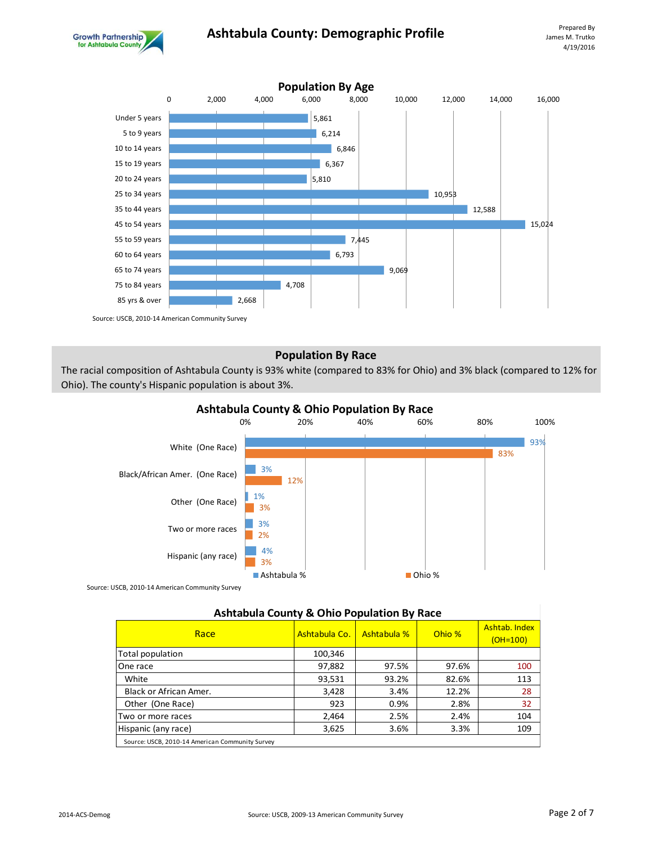# **Ashtabula County: Demographic Profile** Profile Profound By Prepared By





#### **Population By Race**

The racial composition of Ashtabula County is 93% white (compared to 83% for Ohio) and 3% black (compared to 12% for Ohio). The county's Hispanic population is about 3%.



# **Ashtabula County & Ohio Population By Race**

| <b>Ashtabula County &amp; Ohio Population By Race</b> |               |             |        |                             |  |
|-------------------------------------------------------|---------------|-------------|--------|-----------------------------|--|
| Race                                                  | Ashtabula Co. | Ashtabula % | Ohio % | Ashtab. Index<br>$(OH=100)$ |  |
| Total population                                      | 100,346       |             |        |                             |  |
| One race                                              | 97,882        | 97.5%       | 97.6%  | 100                         |  |
| White                                                 | 93,531        | 93.2%       | 82.6%  | 113                         |  |
| Black or African Amer.                                | 3,428         | 3.4%        | 12.2%  | 28                          |  |
| Other (One Race)                                      | 923           | 0.9%        | 2.8%   | 32                          |  |
| Two or more races                                     | 2,464         | 2.5%        | 2.4%   | 104                         |  |
| Hispanic (any race)                                   | 3,625         | 3.6%        | 3.3%   | 109                         |  |
| Source: USCB, 2010-14 American Community Survey       |               |             |        |                             |  |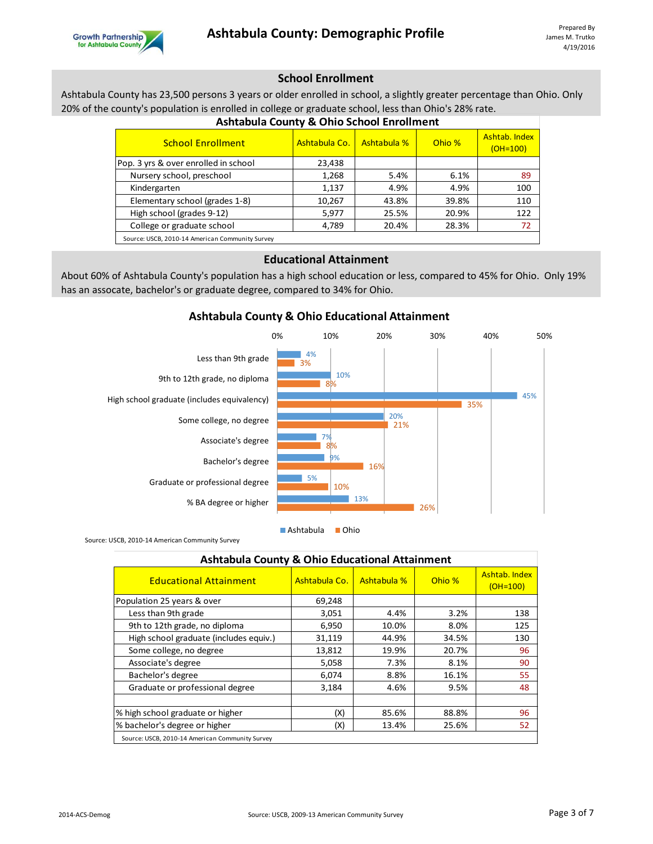

# **School Enrollment**

Ashtabula County has 23,500 persons 3 years or older enrolled in school, a slightly greater percentage than Ohio. Only 20% of the county's population is enrolled in college or graduate school, less than Ohio's 28% rate.

| <b>School Enrollment</b>                        | Ashtabula Co. | Ashtabula % | Ohio % | Ashtab, Index<br>$(OH=100)$ |  |
|-------------------------------------------------|---------------|-------------|--------|-----------------------------|--|
| Pop. 3 yrs & over enrolled in school            | 23,438        |             |        |                             |  |
| Nursery school, preschool                       | 1,268         | 5.4%        | 6.1%   | 89                          |  |
| Kindergarten                                    | 1,137         | 4.9%        | 4.9%   | 100                         |  |
| Elementary school (grades 1-8)                  | 10,267        | 43.8%       | 39.8%  | 110                         |  |
| High school (grades 9-12)                       | 5,977         | 25.5%       | 20.9%  | 122                         |  |
| College or graduate school                      | 4,789         | 20.4%       | 28.3%  | 72                          |  |
| Source: USCB, 2010-14 American Community Survey |               |             |        |                             |  |

#### **Ashtabula County & Ohio School Enrollment**

Source: USCB, 2010-14 American Community Survey

# **Educational Attainment**

About 60% of Ashtabula County's population has a high school education or less, compared to 45% for Ohio. Only 19% has an assocate, bachelor's or graduate degree, compared to 34% for Ohio.

# **Ashtabula County & Ohio Educational Attainment**



| <b>Ashtabula County &amp; Ohio Educational Attainment</b> |               |             |        |                             |  |
|-----------------------------------------------------------|---------------|-------------|--------|-----------------------------|--|
| <b>Educational Attainment</b>                             | Ashtabula Co. | Ashtabula % | Ohio % | Ashtab, Index<br>$(OH=100)$ |  |
| Population 25 years & over                                | 69,248        |             |        |                             |  |
| Less than 9th grade                                       | 3,051         | 4.4%        | 3.2%   | 138                         |  |
| 9th to 12th grade, no diploma                             | 6,950         | 10.0%       | 8.0%   | 125                         |  |
| High school graduate (includes equiv.)                    | 31,119        | 44.9%       | 34.5%  | 130                         |  |
| Some college, no degree                                   | 13,812        | 19.9%       | 20.7%  | 96                          |  |
| Associate's degree                                        | 5,058         | 7.3%        | 8.1%   | 90                          |  |
| Bachelor's degree                                         | 6,074         | 8.8%        | 16.1%  | 55                          |  |
| Graduate or professional degree                           | 3,184         | 4.6%        | 9.5%   | 48                          |  |
|                                                           |               |             |        |                             |  |
| % high school graduate or higher                          | (X)           | 85.6%       | 88.8%  | 96                          |  |
| % bachelor's degree or higher                             | (X)           | 13.4%       | 25.6%  | 52                          |  |
| Source: USCB, 2010-14 American Community Survey           |               |             |        |                             |  |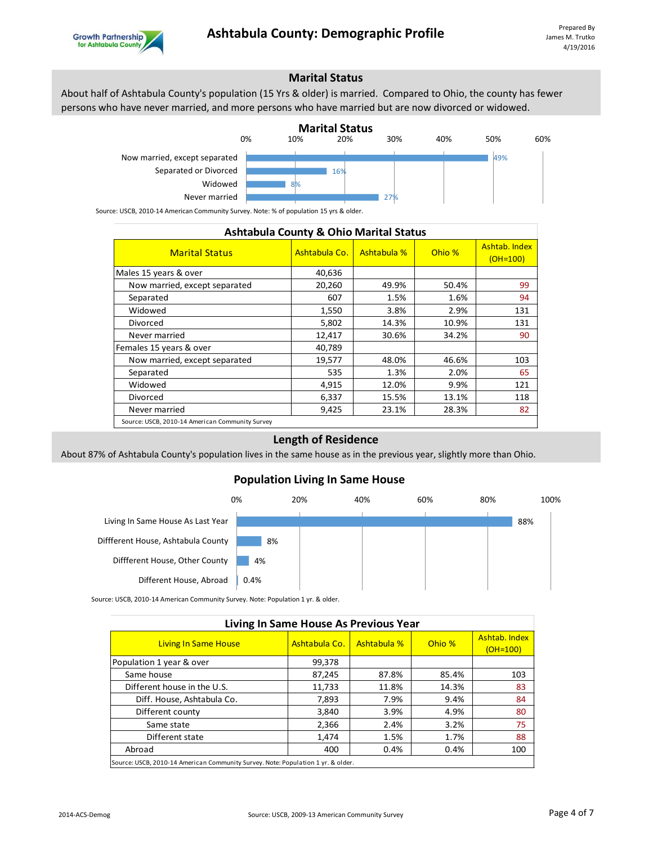

## **Marital Status**

About half of Ashtabula County's population (15 Yrs & older) is married. Compared to Ohio, the county has fewer persons who have never married, and more persons who have married but are now divorced or widowed.



Source: USCB, 2010-14 American Community Survey. Note: % of population 15 yrs & older.

| <b>Ashtabula County &amp; Ohio Marital Status</b> |               |             |        |                             |  |  |
|---------------------------------------------------|---------------|-------------|--------|-----------------------------|--|--|
| <b>Marital Status</b>                             | Ashtabula Co. | Ashtabula % | Ohio % | Ashtab. Index<br>$(OH=100)$ |  |  |
| Males 15 years & over                             | 40,636        |             |        |                             |  |  |
| Now married, except separated                     | 20,260        | 49.9%       | 50.4%  | 99                          |  |  |
| Separated                                         | 607           | 1.5%        | 1.6%   | 94                          |  |  |
| Widowed                                           | 1,550         | 3.8%        | 2.9%   | 131                         |  |  |
| Divorced                                          | 5,802         | 14.3%       | 10.9%  | 131                         |  |  |
| Never married                                     | 12,417        | 30.6%       | 34.2%  | 90                          |  |  |
| Females 15 years & over                           | 40,789        |             |        |                             |  |  |
| Now married, except separated                     | 19,577        | 48.0%       | 46.6%  | 103                         |  |  |
| Separated                                         | 535           | 1.3%        | 2.0%   | 65                          |  |  |
| Widowed                                           | 4,915         | 12.0%       | 9.9%   | 121                         |  |  |
| <b>Divorced</b>                                   | 6,337         | 15.5%       | 13.1%  | 118                         |  |  |
| Never married                                     | 9,425         | 23.1%       | 28.3%  | 82                          |  |  |
| Source: USCB, 2010-14 American Community Survey   |               |             |        |                             |  |  |

#### **Length of Residence**

About 87% of Ashtabula County's population lives in the same house as in the previous year, slightly more than Ohio.

#### **Population Living In Same House**



Source: USCB, 2010-14 American Community Survey. Note: Population 1 yr. & older.

| Living In Same House As Previous Year                                            |               |             |        |                             |  |
|----------------------------------------------------------------------------------|---------------|-------------|--------|-----------------------------|--|
| <b>Living In Same House</b>                                                      | Ashtabula Co. | Ashtabula % | Ohio % | Ashtab, Index<br>$(OH=100)$ |  |
| Population 1 year & over                                                         | 99,378        |             |        |                             |  |
| Same house                                                                       | 87,245        | 87.8%       | 85.4%  | 103                         |  |
| Different house in the U.S.                                                      | 11,733        | 11.8%       | 14.3%  | 83                          |  |
| Diff. House, Ashtabula Co.                                                       | 7,893         | 7.9%        | 9.4%   | 84                          |  |
| Different county                                                                 | 3,840         | 3.9%        | 4.9%   | 80                          |  |
| Same state                                                                       | 2,366         | 2.4%        | 3.2%   | 75                          |  |
| Different state                                                                  | 1,474         | 1.5%        | 1.7%   | 88                          |  |
| Abroad                                                                           | 400           | 0.4%        | 0.4%   | 100                         |  |
| Source: USCB, 2010-14 American Community Survey. Note: Population 1 yr. & older. |               |             |        |                             |  |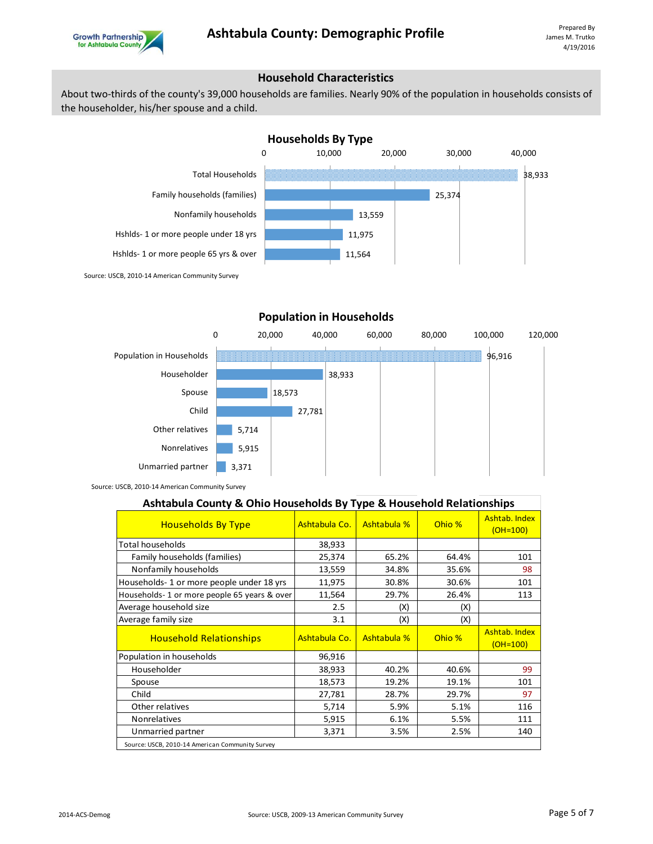

#### **Household Characteristics**

About two-thirds of the county's 39,000 households are families. Nearly 90% of the population in households consists of the householder, his/her spouse and a child.



#### **Population in Households**



| Ashtabula County & Ohio Households By Type & Household Relationships |               |                    |        |                             |  |
|----------------------------------------------------------------------|---------------|--------------------|--------|-----------------------------|--|
| <b>Households By Type</b>                                            | Ashtabula Co. | <b>Ashtabula %</b> | Ohio % | Ashtab, Index<br>$(OH=100)$ |  |
| Total households                                                     | 38,933        |                    |        |                             |  |
| Family households (families)                                         | 25,374        | 65.2%              | 64.4%  | 101                         |  |
| Nonfamily households                                                 | 13,559        | 34.8%              | 35.6%  | 98                          |  |
| Households-1 or more people under 18 yrs                             | 11,975        | 30.8%              | 30.6%  | 101                         |  |
| Households-1 or more people 65 years & over                          | 11,564        | 29.7%              | 26.4%  | 113                         |  |
| Average household size                                               | 2.5           | (X)                | (X)    |                             |  |
| Average family size                                                  | 3.1           | (X)                | (X)    |                             |  |
|                                                                      |               |                    |        |                             |  |
| <b>Household Relationships</b>                                       | Ashtabula Co. | Ashtabula %        | Ohio % | Ashtab. Index<br>$(OH=100)$ |  |
| Population in households                                             | 96,916        |                    |        |                             |  |
| Householder                                                          | 38,933        | 40.2%              | 40.6%  | 99                          |  |
| Spouse                                                               | 18,573        | 19.2%              | 19.1%  | 101                         |  |
| Child                                                                | 27,781        | 28.7%              | 29.7%  | 97                          |  |
| Other relatives                                                      | 5,714         | 5.9%               | 5.1%   | 116                         |  |
| <b>Nonrelatives</b>                                                  | 5,915         | 6.1%               | 5.5%   | 111                         |  |
| Unmarried partner                                                    | 3,371         | 3.5%               | 2.5%   | 140                         |  |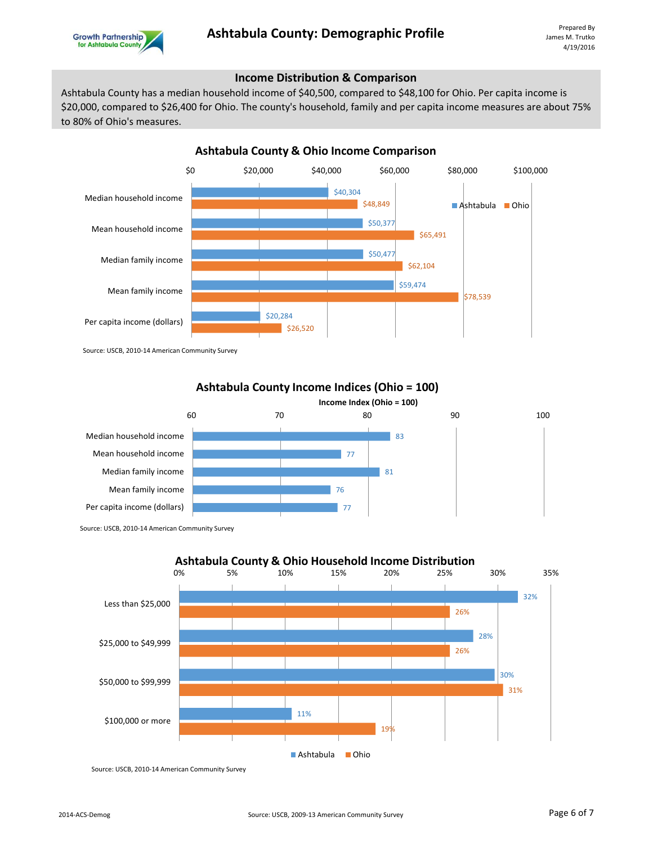

#### **Income Distribution & Comparison**

Ashtabula County has a median household income of \$40,500, compared to \$48,100 for Ohio. Per capita income is \$20,000, compared to \$26,400 for Ohio. The county's household, family and per capita income measures are about 75% to 80% of Ohio's measures.



### **Ashtabula County & Ohio Income Comparison**

Source: USCB, 2010-14 American Community Survey



#### **Ashtabula County Income Indices (Ohio = 100)**



Source: USCB, 2010-14 American Community Survey